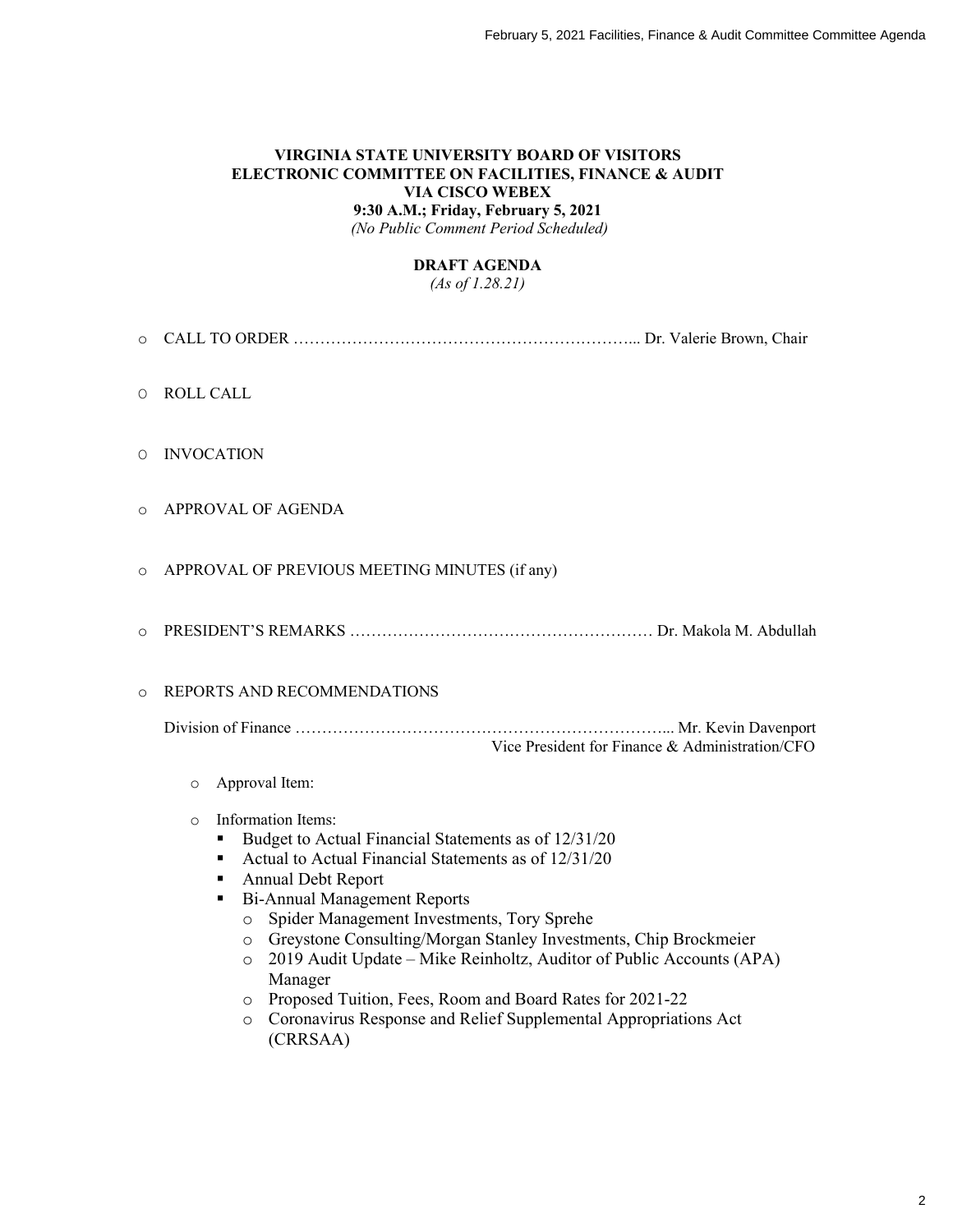#### **VIRGINIA STATE UNIVERSITY BOARD OF VISITORS ELECTRONIC COMMITTEE ON FACILITIES, FINANCE & AUDIT VIA CISCO WEBEX 9:30 A.M.; Friday, February 5, 2021**

*(No Public Comment Period Scheduled)*

#### **DRAFT AGENDA**

*(As of 1.28.21)*

- o CALL TO ORDER ………………………………………………………... Dr. Valerie Brown, Chair
- O ROLL CALL
- O INVOCATION
- o APPROVAL OF AGENDA
- o APPROVAL OF PREVIOUS MEETING MINUTES (if any)
- o PRESIDENT'S REMARKS ………………………………………………… Dr. Makola M. Abdullah

#### o REPORTS AND RECOMMENDATIONS

Division of Finance ……………………………………………………………... Mr. Kevin Davenport Vice President for Finance & Administration/CFO

- o Approval Item:
- o Information Items:
	- Budget to Actual Financial Statements as of 12/31/20
	- Actual to Actual Financial Statements as of  $12/31/20$
	- Annual Debt Report
	- Bi-Annual Management Reports
		- o Spider Management Investments, Tory Sprehe
		- o Greystone Consulting/Morgan Stanley Investments, Chip Brockmeier
		- o 2019 Audit Update Mike Reinholtz, Auditor of Public Accounts (APA) Manager
		- o Proposed Tuition, Fees, Room and Board Rates for 2021-22
		- o Coronavirus Response and Relief Supplemental Appropriations Act (CRRSAA)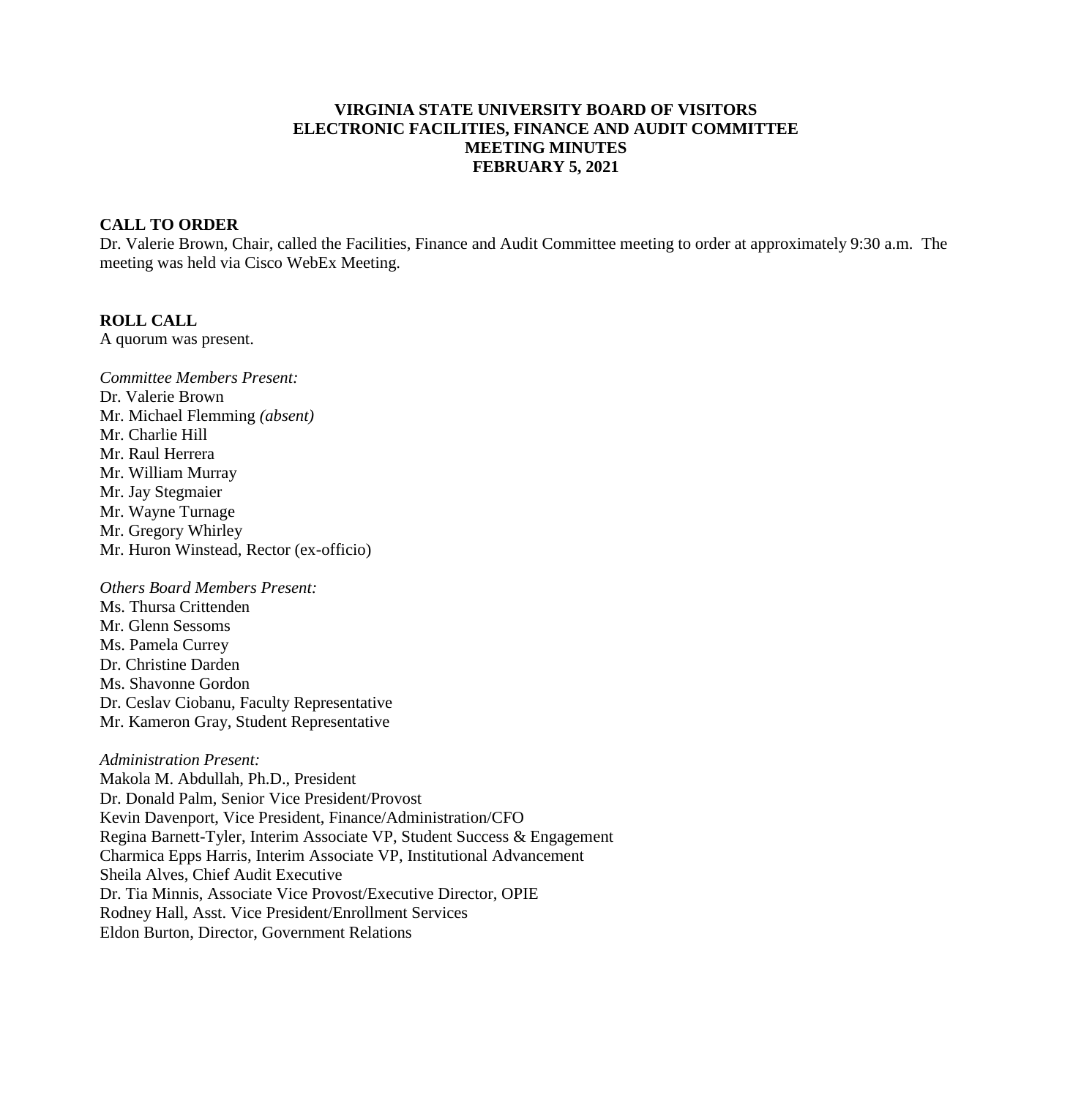# **VIRGINIA STATE UNIVERSITY BOARD OF VISITORS ELECTRONIC FACILITIES, FINANCE AND AUDIT COMMITTEE MEETING MINUTES FEBRUARY 5, 2021**

### **CALL TO ORDER**

Dr. Valerie Brown, Chair, called the Facilities, Finance and Audit Committee meeting to order at approximately 9:30 a.m. The meeting was held via Cisco WebEx Meeting.

#### **ROLL CALL**

A quorum was present.

*Committee Members Present:* Dr. Valerie Brown Mr. Michael Flemming *(absent)* Mr. Charlie Hill Mr. Raul Herrera Mr. William Murray Mr. Jay Stegmaier Mr. Wayne Turnage Mr. Gregory Whirley Mr. Huron Winstead, Rector (ex-officio)

# *Others Board Members Present:*

Ms. Thursa Crittenden Mr. Glenn Sessoms Ms. Pamela Currey Dr. Christine Darden Ms. Shavonne Gordon Dr. Ceslav Ciobanu, Faculty Representative Mr. Kameron Gray, Student Representative

#### *Administration Present:*

Makola M. Abdullah, Ph.D., President Dr. Donald Palm, Senior Vice President/Provost Kevin Davenport, Vice President, Finance/Administration/CFO Regina Barnett-Tyler, Interim Associate VP, Student Success & Engagement Charmica Epps Harris, Interim Associate VP, Institutional Advancement Sheila Alves, Chief Audit Executive Dr. Tia Minnis, Associate Vice Provost/Executive Director, OPIE Rodney Hall, Asst. Vice President/Enrollment Services Eldon Burton, Director, Government Relations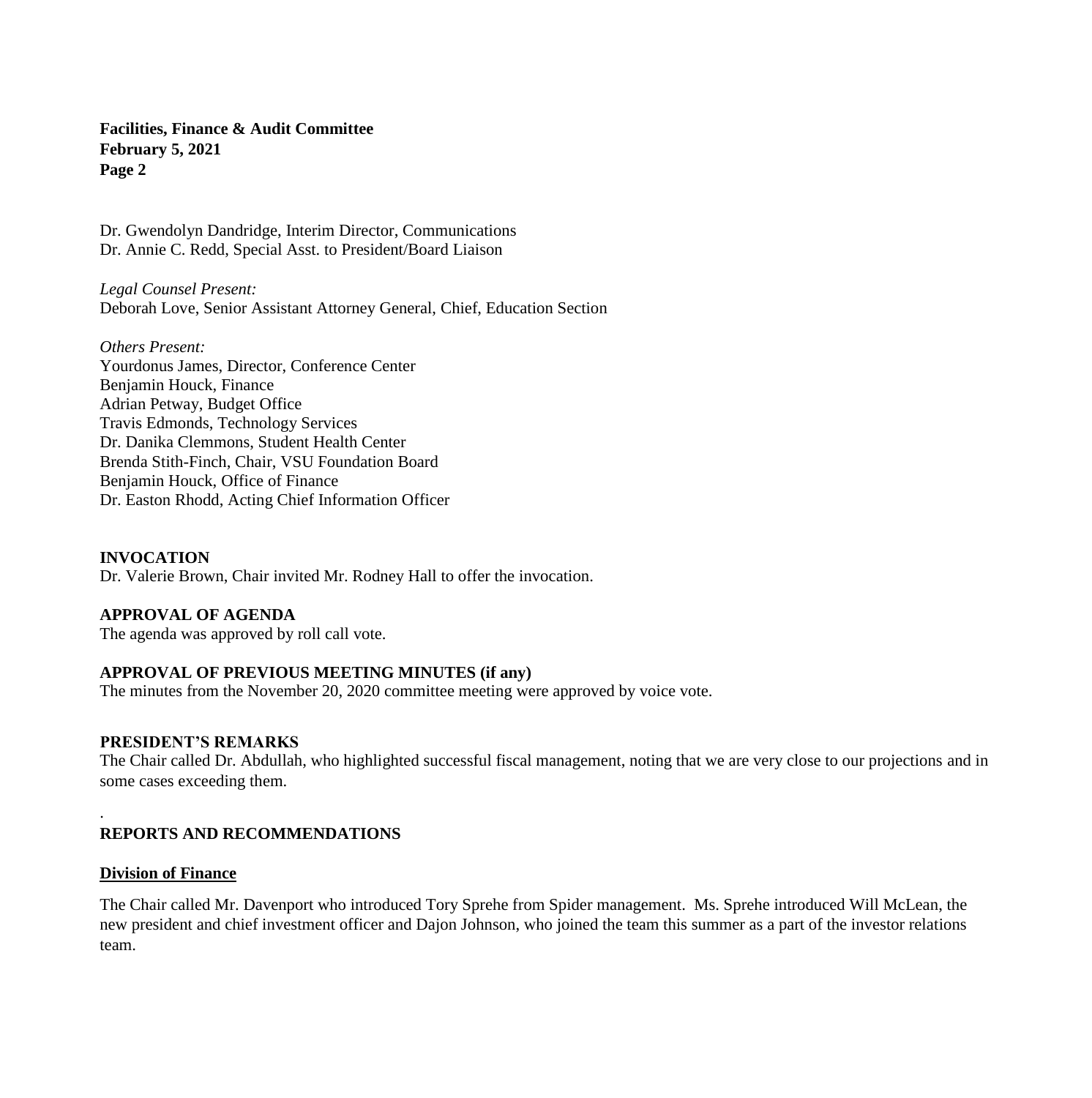Dr. Gwendolyn Dandridge, Interim Director, Communications Dr. Annie C. Redd, Special Asst. to President/Board Liaison

*Legal Counsel Present:* Deborah Love, Senior Assistant Attorney General, Chief, Education Section

*Others Present:* Yourdonus James, Director, Conference Center Benjamin Houck, Finance Adrian Petway, Budget Office Travis Edmonds, Technology Services Dr. Danika Clemmons, Student Health Center Brenda Stith-Finch, Chair, VSU Foundation Board Benjamin Houck, Office of Finance Dr. Easton Rhodd, Acting Chief Information Officer

# **INVOCATION**

Dr. Valerie Brown, Chair invited Mr. Rodney Hall to offer the invocation.

### **APPROVAL OF AGENDA**

The agenda was approved by roll call vote.

# **APPROVAL OF PREVIOUS MEETING MINUTES (if any)**

The minutes from the November 20, 2020 committee meeting were approved by voice vote.

#### **PRESIDENT'S REMARKS**

The Chair called Dr. Abdullah, who highlighted successful fiscal management, noting that we are very close to our projections and in some cases exceeding them.

### **REPORTS AND RECOMMENDATIONS**

#### **Division of Finance**

.

The Chair called Mr. Davenport who introduced Tory Sprehe from Spider management. Ms. Sprehe introduced Will McLean, the new president and chief investment officer and Dajon Johnson, who joined the team this summer as a part of the investor relations team.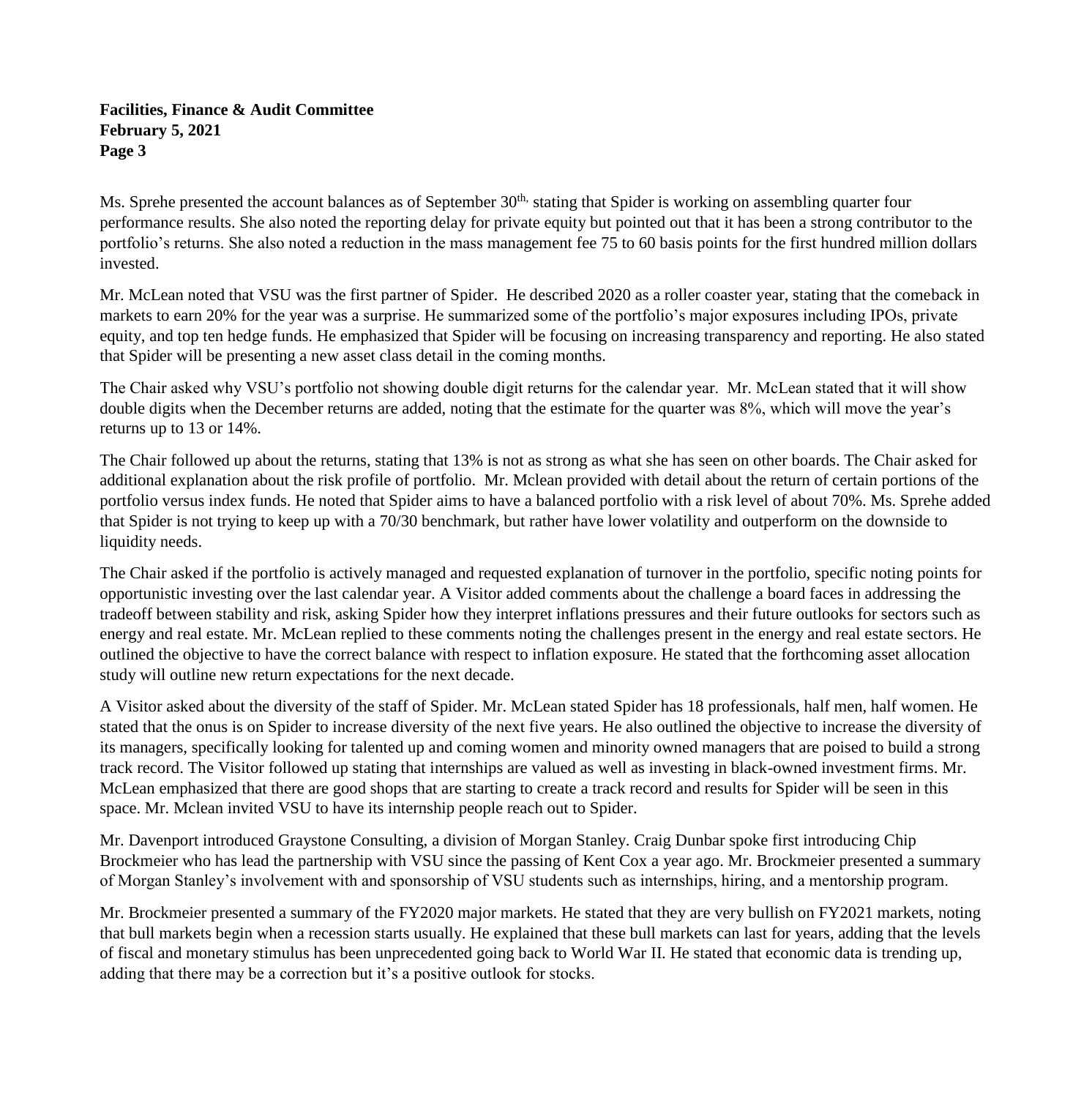Ms. Sprehe presented the account balances as of September 30<sup>th,</sup> stating that Spider is working on assembling quarter four performance results. She also noted the reporting delay for private equity but pointed out that it has been a strong contributor to the portfolio's returns. She also noted a reduction in the mass management fee 75 to 60 basis points for the first hundred million dollars invested.

Mr. McLean noted that VSU was the first partner of Spider. He described 2020 as a roller coaster year, stating that the comeback in markets to earn 20% for the year was a surprise. He summarized some of the portfolio's major exposures including IPOs, private equity, and top ten hedge funds. He emphasized that Spider will be focusing on increasing transparency and reporting. He also stated that Spider will be presenting a new asset class detail in the coming months.

The Chair asked why VSU's portfolio not showing double digit returns for the calendar year. Mr. McLean stated that it will show double digits when the December returns are added, noting that the estimate for the quarter was 8%, which will move the year's returns up to 13 or 14%.

The Chair followed up about the returns, stating that 13% is not as strong as what she has seen on other boards. The Chair asked for additional explanation about the risk profile of portfolio. Mr. Mclean provided with detail about the return of certain portions of the portfolio versus index funds. He noted that Spider aims to have a balanced portfolio with a risk level of about 70%. Ms. Sprehe added that Spider is not trying to keep up with a 70/30 benchmark, but rather have lower volatility and outperform on the downside to liquidity needs.

The Chair asked if the portfolio is actively managed and requested explanation of turnover in the portfolio, specific noting points for opportunistic investing over the last calendar year. A Visitor added comments about the challenge a board faces in addressing the tradeoff between stability and risk, asking Spider how they interpret inflations pressures and their future outlooks for sectors such as energy and real estate. Mr. McLean replied to these comments noting the challenges present in the energy and real estate sectors. He outlined the objective to have the correct balance with respect to inflation exposure. He stated that the forthcoming asset allocation study will outline new return expectations for the next decade.

A Visitor asked about the diversity of the staff of Spider. Mr. McLean stated Spider has 18 professionals, half men, half women. He stated that the onus is on Spider to increase diversity of the next five years. He also outlined the objective to increase the diversity of its managers, specifically looking for talented up and coming women and minority owned managers that are poised to build a strong track record. The Visitor followed up stating that internships are valued as well as investing in black-owned investment firms. Mr. McLean emphasized that there are good shops that are starting to create a track record and results for Spider will be seen in this space. Mr. Mclean invited VSU to have its internship people reach out to Spider.

Mr. Davenport introduced Graystone Consulting, a division of Morgan Stanley. Craig Dunbar spoke first introducing Chip Brockmeier who has lead the partnership with VSU since the passing of Kent Cox a year ago. Mr. Brockmeier presented a summary of Morgan Stanley's involvement with and sponsorship of VSU students such as internships, hiring, and a mentorship program.

Mr. Brockmeier presented a summary of the FY2020 major markets. He stated that they are very bullish on FY2021 markets, noting that bull markets begin when a recession starts usually. He explained that these bull markets can last for years, adding that the levels of fiscal and monetary stimulus has been unprecedented going back to World War II. He stated that economic data is trending up, adding that there may be a correction but it's a positive outlook for stocks.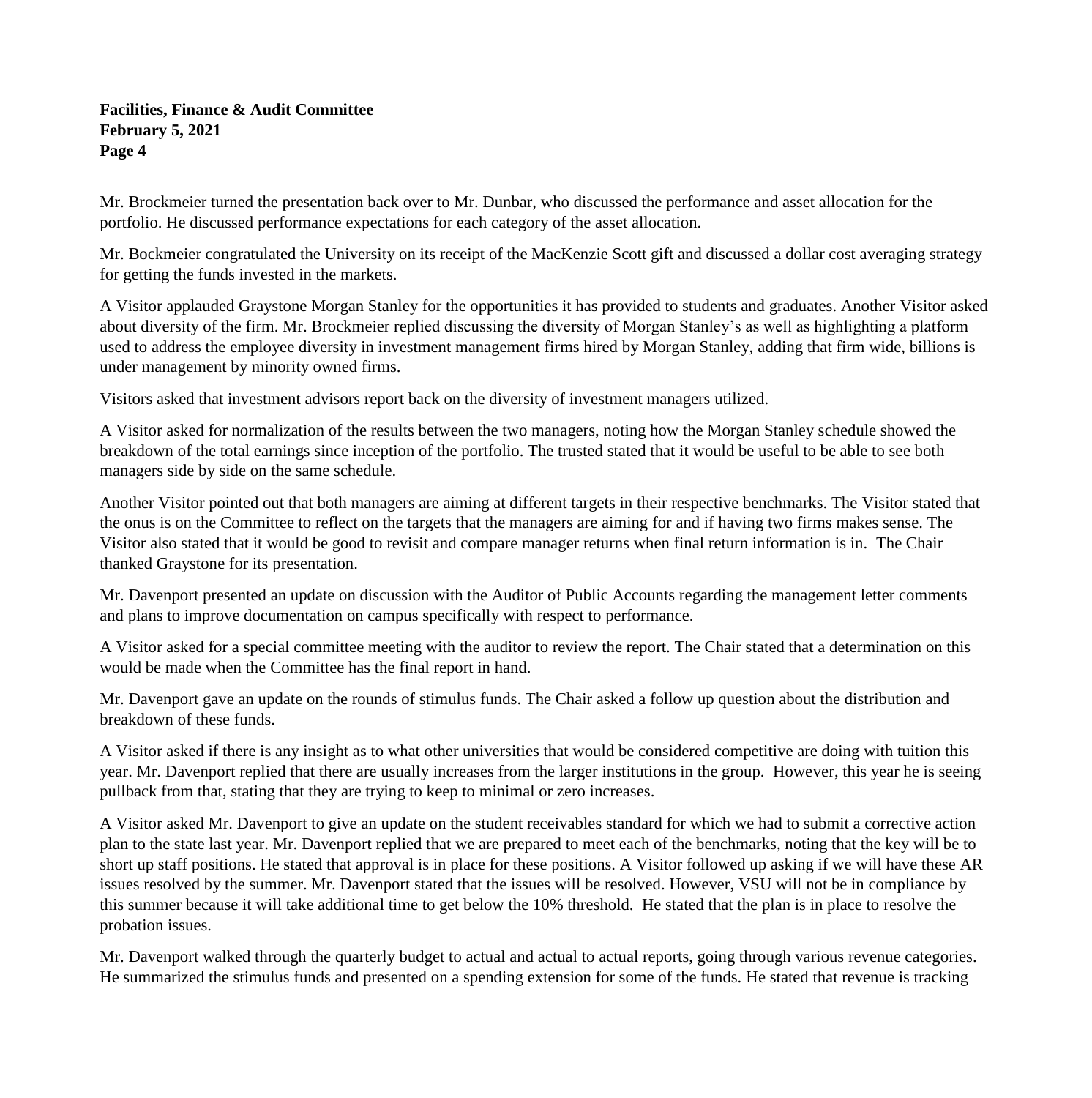Mr. Brockmeier turned the presentation back over to Mr. Dunbar, who discussed the performance and asset allocation for the portfolio. He discussed performance expectations for each category of the asset allocation.

Mr. Bockmeier congratulated the University on its receipt of the MacKenzie Scott gift and discussed a dollar cost averaging strategy for getting the funds invested in the markets.

A Visitor applauded Graystone Morgan Stanley for the opportunities it has provided to students and graduates. Another Visitor asked about diversity of the firm. Mr. Brockmeier replied discussing the diversity of Morgan Stanley's as well as highlighting a platform used to address the employee diversity in investment management firms hired by Morgan Stanley, adding that firm wide, billions is under management by minority owned firms.

Visitors asked that investment advisors report back on the diversity of investment managers utilized.

A Visitor asked for normalization of the results between the two managers, noting how the Morgan Stanley schedule showed the breakdown of the total earnings since inception of the portfolio. The trusted stated that it would be useful to be able to see both managers side by side on the same schedule.

Another Visitor pointed out that both managers are aiming at different targets in their respective benchmarks. The Visitor stated that the onus is on the Committee to reflect on the targets that the managers are aiming for and if having two firms makes sense. The Visitor also stated that it would be good to revisit and compare manager returns when final return information is in. The Chair thanked Graystone for its presentation.

Mr. Davenport presented an update on discussion with the Auditor of Public Accounts regarding the management letter comments and plans to improve documentation on campus specifically with respect to performance.

A Visitor asked for a special committee meeting with the auditor to review the report. The Chair stated that a determination on this would be made when the Committee has the final report in hand.

Mr. Davenport gave an update on the rounds of stimulus funds. The Chair asked a follow up question about the distribution and breakdown of these funds.

A Visitor asked if there is any insight as to what other universities that would be considered competitive are doing with tuition this year. Mr. Davenport replied that there are usually increases from the larger institutions in the group. However, this year he is seeing pullback from that, stating that they are trying to keep to minimal or zero increases.

A Visitor asked Mr. Davenport to give an update on the student receivables standard for which we had to submit a corrective action plan to the state last year. Mr. Davenport replied that we are prepared to meet each of the benchmarks, noting that the key will be to short up staff positions. He stated that approval is in place for these positions. A Visitor followed up asking if we will have these AR issues resolved by the summer. Mr. Davenport stated that the issues will be resolved. However, VSU will not be in compliance by this summer because it will take additional time to get below the 10% threshold. He stated that the plan is in place to resolve the probation issues.

Mr. Davenport walked through the quarterly budget to actual and actual to actual reports, going through various revenue categories. He summarized the stimulus funds and presented on a spending extension for some of the funds. He stated that revenue is tracking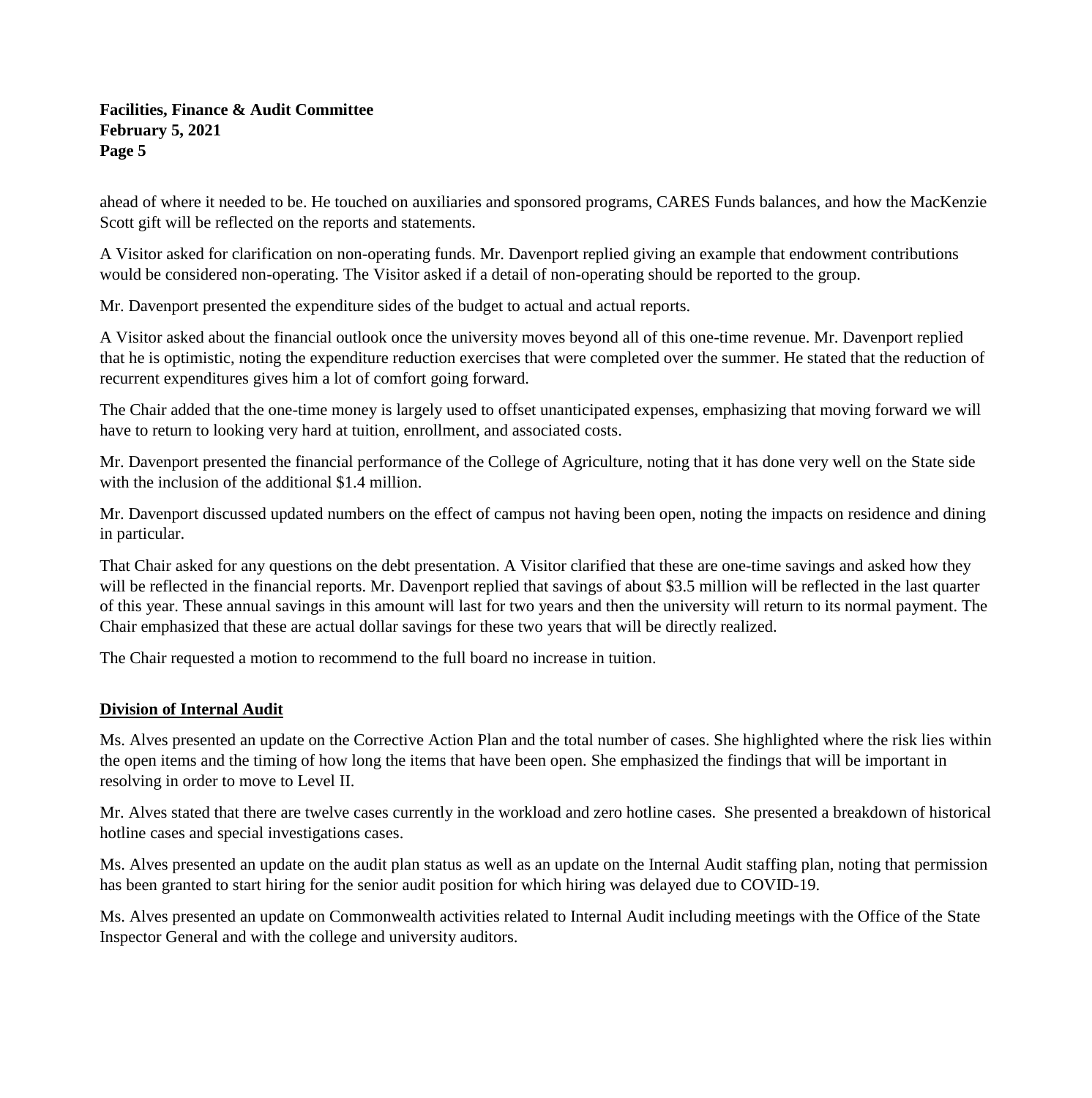ahead of where it needed to be. He touched on auxiliaries and sponsored programs, CARES Funds balances, and how the MacKenzie Scott gift will be reflected on the reports and statements.

A Visitor asked for clarification on non-operating funds. Mr. Davenport replied giving an example that endowment contributions would be considered non-operating. The Visitor asked if a detail of non-operating should be reported to the group.

Mr. Davenport presented the expenditure sides of the budget to actual and actual reports.

A Visitor asked about the financial outlook once the university moves beyond all of this one-time revenue. Mr. Davenport replied that he is optimistic, noting the expenditure reduction exercises that were completed over the summer. He stated that the reduction of recurrent expenditures gives him a lot of comfort going forward.

The Chair added that the one-time money is largely used to offset unanticipated expenses, emphasizing that moving forward we will have to return to looking very hard at tuition, enrollment, and associated costs.

Mr. Davenport presented the financial performance of the College of Agriculture, noting that it has done very well on the State side with the inclusion of the additional \$1.4 million.

Mr. Davenport discussed updated numbers on the effect of campus not having been open, noting the impacts on residence and dining in particular.

That Chair asked for any questions on the debt presentation. A Visitor clarified that these are one-time savings and asked how they will be reflected in the financial reports. Mr. Davenport replied that savings of about \$3.5 million will be reflected in the last quarter of this year. These annual savings in this amount will last for two years and then the university will return to its normal payment. The Chair emphasized that these are actual dollar savings for these two years that will be directly realized.

The Chair requested a motion to recommend to the full board no increase in tuition.

### **Division of Internal Audit**

Ms. Alves presented an update on the Corrective Action Plan and the total number of cases. She highlighted where the risk lies within the open items and the timing of how long the items that have been open. She emphasized the findings that will be important in resolving in order to move to Level II.

Mr. Alves stated that there are twelve cases currently in the workload and zero hotline cases. She presented a breakdown of historical hotline cases and special investigations cases.

Ms. Alves presented an update on the audit plan status as well as an update on the Internal Audit staffing plan, noting that permission has been granted to start hiring for the senior audit position for which hiring was delayed due to COVID-19.

Ms. Alves presented an update on Commonwealth activities related to Internal Audit including meetings with the Office of the State Inspector General and with the college and university auditors.